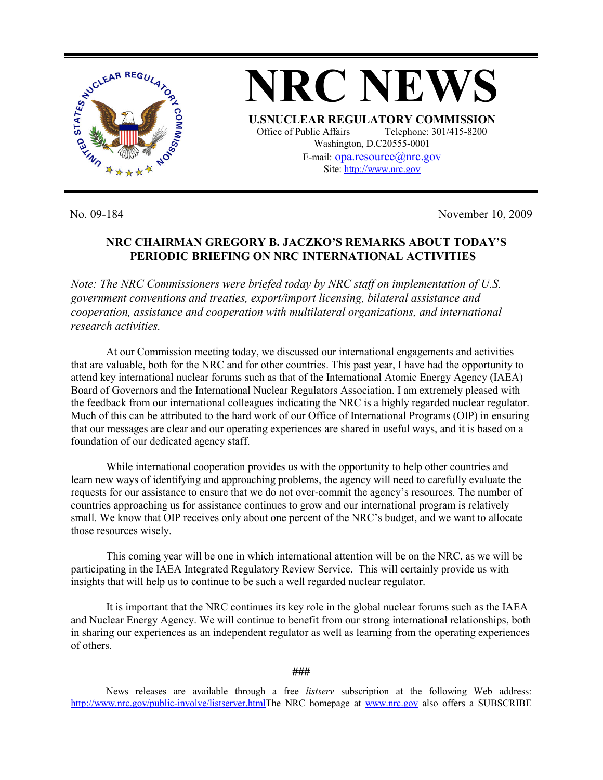

**NRC NEWS U.SNUCLEAR REGULATORY COMMISSION** Office of Public Affairs Telephone: 301/415-8200 Washington, D.C20555-0001 E-mail: opa.resource@nrc.gov Site: http://www.nrc.gov

No. 09-184 November 10, 2009

## **NRC CHAIRMAN GREGORY B. JACZKO'S REMARKS ABOUT TODAY'S PERIODIC BRIEFING ON NRC INTERNATIONAL ACTIVITIES**

*Note: The NRC Commissioners were briefed today by NRC staff on implementation of U.S. government conventions and treaties, export/import licensing, bilateral assistance and cooperation, assistance and cooperation with multilateral organizations, and international research activities.* 

 At our Commission meeting today, we discussed our international engagements and activities that are valuable, both for the NRC and for other countries. This past year, I have had the opportunity to attend key international nuclear forums such as that of the International Atomic Energy Agency (IAEA) Board of Governors and the International Nuclear Regulators Association. I am extremely pleased with the feedback from our international colleagues indicating the NRC is a highly regarded nuclear regulator. Much of this can be attributed to the hard work of our Office of International Programs (OIP) in ensuring that our messages are clear and our operating experiences are shared in useful ways, and it is based on a foundation of our dedicated agency staff.

 While international cooperation provides us with the opportunity to help other countries and learn new ways of identifying and approaching problems, the agency will need to carefully evaluate the requests for our assistance to ensure that we do not over-commit the agency's resources. The number of countries approaching us for assistance continues to grow and our international program is relatively small. We know that OIP receives only about one percent of the NRC's budget, and we want to allocate those resources wisely.

 This coming year will be one in which international attention will be on the NRC, as we will be participating in the IAEA Integrated Regulatory Review Service. This will certainly provide us with insights that will help us to continue to be such a well regarded nuclear regulator.

 It is important that the NRC continues its key role in the global nuclear forums such as the IAEA and Nuclear Energy Agency. We will continue to benefit from our strong international relationships, both in sharing our experiences as an independent regulator as well as learning from the operating experiences of others.

**###** 

News releases are available through a free *listserv* subscription at the following Web address: http://www.nrc.gov/public-involve/listserver.htmlThe NRC homepage at www.nrc.gov also offers a SUBSCRIBE